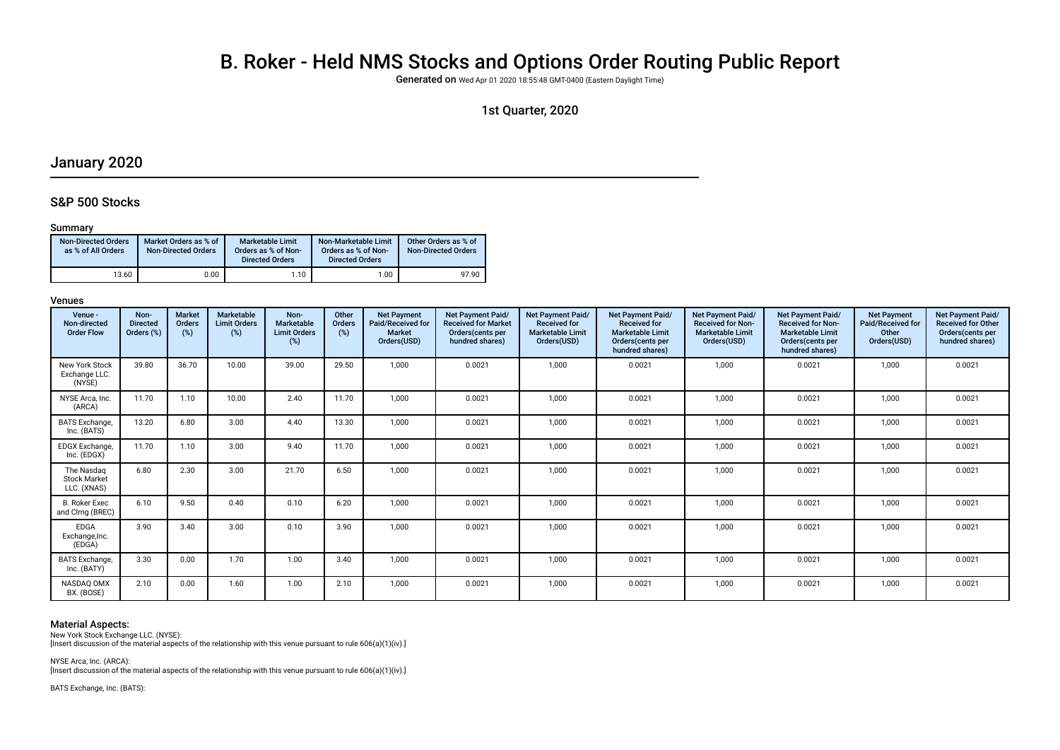# B. Roker - Held NMS Stocks and Options Order Routing Public Report

Generated on Wed Apr 01 2020 18:55:48 GMT-0400 (Eastern Daylight Time)

### 1st Quarter, 2020

## January 2020

### S&P 500 Stocks

### Summary

| <b>Non-Directed Orders</b><br>as % of All Orders | Market Orders as % of<br><b>Non-Directed Orders</b> | Marketable Limit<br>Orders as % of Non-<br><b>Directed Orders</b> | Non-Marketable Limit<br>Orders as % of Non-<br><b>Directed Orders</b> | Other Orders as % of<br><b>Non-Directed Orders</b> |
|--------------------------------------------------|-----------------------------------------------------|-------------------------------------------------------------------|-----------------------------------------------------------------------|----------------------------------------------------|
| 13.60                                            | 0.00                                                | 1.10                                                              | 1.00                                                                  | 97.90                                              |

#### Venues

| Venue -<br>Non-directed<br><b>Order Flow</b>     | Non-<br><b>Directed</b><br>Orders (%) | <b>Market</b><br><b>Orders</b><br>(%) | Marketable<br><b>Limit Orders</b><br>(%) | Non-<br>Marketable<br><b>Limit Orders</b><br>(%) | Other<br>Orders<br>(%) | <b>Net Payment</b><br>Paid/Received for<br><b>Market</b><br>Orders(USD) | Net Payment Paid/<br><b>Received for Market</b><br>Orders(cents per<br>hundred shares) | <b>Net Payment Paid/</b><br><b>Received for</b><br><b>Marketable Limit</b><br>Orders(USD) | Net Payment Paid/<br><b>Received for</b><br><b>Marketable Limit</b><br>Orders(cents per<br>hundred shares) | <b>Net Payment Paid/</b><br><b>Received for Non-</b><br><b>Marketable Limit</b><br>Orders(USD) | <b>Net Payment Paid/</b><br><b>Received for Non-</b><br><b>Marketable Limit</b><br>Orders(cents per<br>hundred shares) | <b>Net Payment</b><br>Paid/Received for<br>Other<br>Orders(USD) | <b>Net Payment Paid/</b><br><b>Received for Other</b><br>Orders(cents per<br>hundred shares) |
|--------------------------------------------------|---------------------------------------|---------------------------------------|------------------------------------------|--------------------------------------------------|------------------------|-------------------------------------------------------------------------|----------------------------------------------------------------------------------------|-------------------------------------------------------------------------------------------|------------------------------------------------------------------------------------------------------------|------------------------------------------------------------------------------------------------|------------------------------------------------------------------------------------------------------------------------|-----------------------------------------------------------------|----------------------------------------------------------------------------------------------|
| <b>New York Stock</b><br>Exchange LLC.<br>(NYSE) | 39.80                                 | 36.70                                 | 10.00                                    | 39.00                                            | 29.50                  | 1.000                                                                   | 0.0021                                                                                 | 1,000                                                                                     | 0.0021                                                                                                     | 1,000                                                                                          | 0.0021                                                                                                                 | 1,000                                                           | 0.0021                                                                                       |
| NYSE Arca, Inc.<br>(ARCA)                        | 11.70                                 | 1.10                                  | 10.00                                    | 2.40                                             | 11.70                  | 1,000                                                                   | 0.0021                                                                                 | 1,000                                                                                     | 0.0021                                                                                                     | 1,000                                                                                          | 0.0021                                                                                                                 | 1,000                                                           | 0.0021                                                                                       |
| <b>BATS</b> Exchange<br>Inc. (BATS)              | 13.20                                 | 6.80                                  | 3.00                                     | 4.40                                             | 13.30                  | 1.000                                                                   | 0.0021                                                                                 | 1,000                                                                                     | 0.0021                                                                                                     | 1.000                                                                                          | 0.0021                                                                                                                 | 1,000                                                           | 0.0021                                                                                       |
| EDGX Exchange,<br>Inc. (EDGX)                    | 11.70                                 | 1.10                                  | 3.00                                     | 9.40                                             | 11.70                  | 1,000                                                                   | 0.0021                                                                                 | 1,000                                                                                     | 0.0021                                                                                                     | 1,000                                                                                          | 0.0021                                                                                                                 | 1,000                                                           | 0.0021                                                                                       |
| The Nasdag<br><b>Stock Market</b><br>LLC. (XNAS) | 6.80                                  | 2.30                                  | 3.00                                     | 21.70                                            | 6.50                   | 1.000                                                                   | 0.0021                                                                                 | 1,000                                                                                     | 0.0021                                                                                                     | 1,000                                                                                          | 0.0021                                                                                                                 | 1,000                                                           | 0.0021                                                                                       |
| <b>B. Roker Exec</b><br>and Clrng (BREC)         | 6.10                                  | 9.50                                  | 0.40                                     | 0.10                                             | 6.20                   | 1,000                                                                   | 0.0021                                                                                 | 1,000                                                                                     | 0.0021                                                                                                     | 1,000                                                                                          | 0.0021                                                                                                                 | 1,000                                                           | 0.0021                                                                                       |
| <b>EDGA</b><br>Exchange, Inc.<br>(EDGA)          | 3.90                                  | 3.40                                  | 3.00                                     | 0.10                                             | 3.90                   | 1.000                                                                   | 0.0021                                                                                 | 1.000                                                                                     | 0.0021                                                                                                     | 1.000                                                                                          | 0.0021                                                                                                                 | 1,000                                                           | 0.0021                                                                                       |
| <b>BATS</b> Exchange,<br>Inc. (BATY)             | 3.30                                  | 0.00                                  | 1.70                                     | 1.00                                             | 3.40                   | 1,000                                                                   | 0.0021                                                                                 | 1,000                                                                                     | 0.0021                                                                                                     | 1,000                                                                                          | 0.0021                                                                                                                 | 1,000                                                           | 0.0021                                                                                       |
| NASDAQ OMX<br>BX. (BOSE)                         | 2.10                                  | 0.00                                  | 1.60                                     | 1.00                                             | 2.10                   | 1.000                                                                   | 0.0021                                                                                 | 1,000                                                                                     | 0.0021                                                                                                     | 1.000                                                                                          | 0.0021                                                                                                                 | 1,000                                                           | 0.0021                                                                                       |

### Material Aspects:

New York Stock Exchange LLC. (NYSE):

[Insert discussion of the material aspects of the relationship with this venue pursuant to rule 606(a)(1)(iv).]

NYSE Arca, Inc. (ARCA): [Insert discussion of the material aspects of the relationship with this venue pursuant to rule 606(a)(1)(iv).]

BATS Exchange, Inc. (BATS):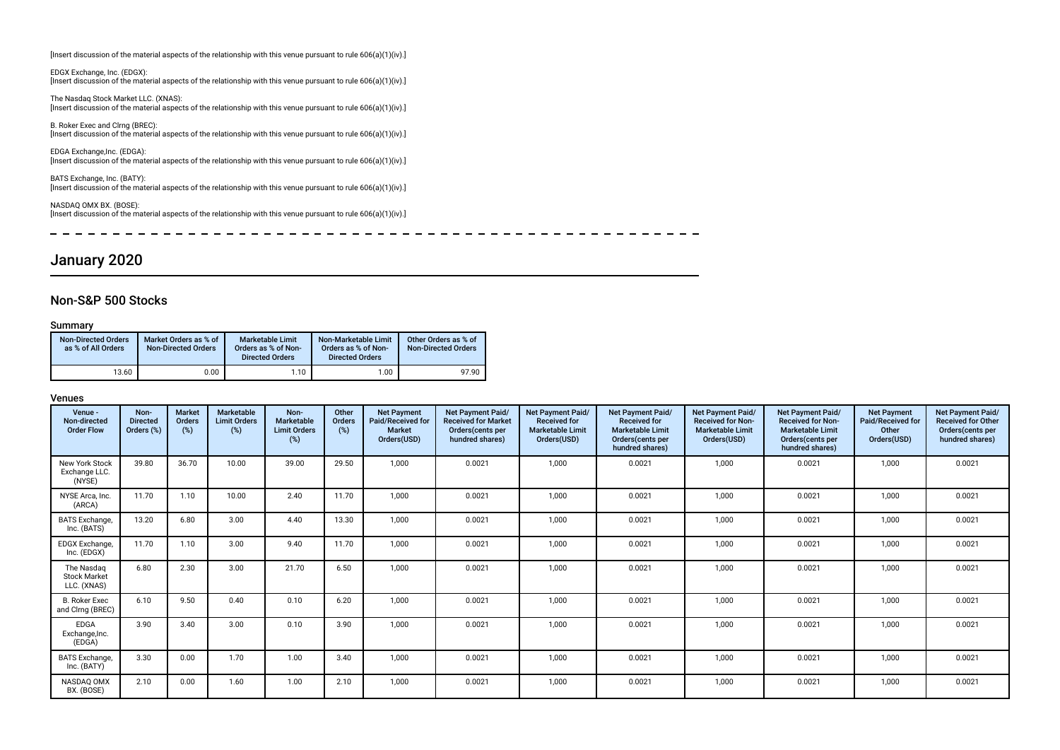[Insert discussion of the material aspects of the relationship with this venue pursuant to rule 606(a)(1)(iv).]

EDGX Exchange, Inc. (EDGX): [Insert discussion of the material aspects of the relationship with this venue pursuant to rule 606(a)(1)(iv).]

The Nasdaq Stock Market LLC. (XNAS): [Insert discussion of the material aspects of the relationship with this venue pursuant to rule 606(a)(1)(iv).]

B. Roker Exec and Clrng (BREC): [Insert discussion of the material aspects of the relationship with this venue pursuant to rule 606(a)(1)(iv).]

EDGA Exchange,Inc. (EDGA): [Insert discussion of the material aspects of the relationship with this venue pursuant to rule 606(a)(1)(iv).]

BATS Exchange, Inc. (BATY): [Insert discussion of the material aspects of the relationship with this venue pursuant to rule 606(a)(1)(iv).]

NASDAQ OMX BX. (BOSE): [Insert discussion of the material aspects of the relationship with this venue pursuant to rule 606(a)(1)(iv).]

 $\overline{\phantom{a}}$  $\sim$   $\sim$   $\frac{1}{2}$  and  $\frac{1}{2}$  and  $\frac{1}{2}$  and  $\frac{1}{2}$  and  $\frac{1}{2}$  and  $\frac{1}{2}$  and  $\frac{1}{2}$  and  $\frac{1}{2}$  and  $\frac{1}{2}$  and  $\frac{1}{2}$  and  $\frac{1}{2}$  and  $\frac{1}{2}$  and  $\frac{1}{2}$  and  $\frac{1}{2}$  and  $\frac{1}{2}$  and  $\frac{1}{2}$  a  $\sim$   $\sim$ 

## January 2020

### Non-S&P 500 Stocks

### Summary

| <b>Non-Directed Orders</b><br>as % of All Orders | Market Orders as % of<br><b>Non-Directed Orders</b> | <b>Marketable Limit</b><br>Orders as % of Non-<br><b>Directed Orders</b> | Non-Marketable Limit<br>Orders as % of Non-<br><b>Directed Orders</b> | Other Orders as % of<br><b>Non-Directed Orders</b> |
|--------------------------------------------------|-----------------------------------------------------|--------------------------------------------------------------------------|-----------------------------------------------------------------------|----------------------------------------------------|
| 13.60                                            | 0.00                                                | 1.10                                                                     | 1,00                                                                  | 97.90                                              |

| Venue -<br>Non-directed<br><b>Order Flow</b>     | Non-<br><b>Directed</b><br>Orders (%) | Market<br>Orders<br>(%) | Marketable<br><b>Limit Orders</b><br>(%) | Non-<br>Marketable<br><b>Limit Orders</b><br>(%) | Other<br>Orders<br>(%) | <b>Net Payment</b><br>Paid/Received for<br><b>Market</b><br>Orders(USD) | <b>Net Payment Paid/</b><br><b>Received for Market</b><br>Orders (cents per<br>hundred shares) | <b>Net Payment Paid/</b><br><b>Received for</b><br><b>Marketable Limit</b><br>Orders(USD) | <b>Net Payment Paid/</b><br><b>Received for</b><br><b>Marketable Limit</b><br>Orders (cents per<br>hundred shares) | Net Payment Paid/<br><b>Received for Non-</b><br><b>Marketable Limit</b><br>Orders(USD) | <b>Net Payment Paid/</b><br><b>Received for Non-</b><br><b>Marketable Limit</b><br>Orders (cents per<br>hundred shares) | <b>Net Payment</b><br>Paid/Received for<br>Other<br>Orders(USD) | Net Payment Paid/<br><b>Received for Other</b><br>Orders(cents per<br>hundred shares) |
|--------------------------------------------------|---------------------------------------|-------------------------|------------------------------------------|--------------------------------------------------|------------------------|-------------------------------------------------------------------------|------------------------------------------------------------------------------------------------|-------------------------------------------------------------------------------------------|--------------------------------------------------------------------------------------------------------------------|-----------------------------------------------------------------------------------------|-------------------------------------------------------------------------------------------------------------------------|-----------------------------------------------------------------|---------------------------------------------------------------------------------------|
| New York Stock<br>Exchange LLC.<br>(NYSE)        | 39.80                                 | 36.70                   | 10.00                                    | 39.00                                            | 29.50                  | 1.000                                                                   | 0.0021                                                                                         | 1,000                                                                                     | 0.0021                                                                                                             | 1,000                                                                                   | 0.0021                                                                                                                  | 1,000                                                           | 0.0021                                                                                |
| NYSE Arca, Inc.<br>(ARCA)                        | 11.70                                 | 1.10                    | 10.00                                    | 2.40                                             | 11.70                  | 1,000                                                                   | 0.0021                                                                                         | 1,000                                                                                     | 0.0021                                                                                                             | 1,000                                                                                   | 0.0021                                                                                                                  | 1,000                                                           | 0.0021                                                                                |
| <b>BATS</b> Exchange,<br>Inc. (BATS)             | 13.20                                 | 6.80                    | 3.00                                     | 4.40                                             | 13.30                  | 1,000                                                                   | 0.0021                                                                                         | 1,000                                                                                     | 0.0021                                                                                                             | 1,000                                                                                   | 0.0021                                                                                                                  | 1,000                                                           | 0.0021                                                                                |
| EDGX Exchange,<br>Inc. (EDGX)                    | 11.70                                 | 1.10                    | 3.00                                     | 9.40                                             | 11.70                  | 1,000                                                                   | 0.0021                                                                                         | 1,000                                                                                     | 0.0021                                                                                                             | 1,000                                                                                   | 0.0021                                                                                                                  | 1,000                                                           | 0.0021                                                                                |
| The Nasdag<br><b>Stock Market</b><br>LLC. (XNAS) | 6.80                                  | 2.30                    | 3.00                                     | 21.70                                            | 6.50                   | 1.000                                                                   | 0.0021                                                                                         | 1,000                                                                                     | 0.0021                                                                                                             | 1,000                                                                                   | 0.0021                                                                                                                  | 1,000                                                           | 0.0021                                                                                |
| <b>B. Roker Exec</b><br>and Clrng (BREC)         | 6.10                                  | 9.50                    | 0.40                                     | 0.10                                             | 6.20                   | 1.000                                                                   | 0.0021                                                                                         | 1,000                                                                                     | 0.0021                                                                                                             | 1.000                                                                                   | 0.0021                                                                                                                  | 1.000                                                           | 0.0021                                                                                |
| EDGA<br>Exchange, Inc.<br>(EDGA)                 | 3.90                                  | 3.40                    | 3.00                                     | 0.10                                             | 3.90                   | 1.000                                                                   | 0.0021                                                                                         | 1,000                                                                                     | 0.0021                                                                                                             | 1.000                                                                                   | 0.0021                                                                                                                  | 1.000                                                           | 0.0021                                                                                |
| <b>BATS</b> Exchange,<br>Inc. (BATY)             | 3.30                                  | 0.00                    | 1.70                                     | 1.00                                             | 3.40                   | 1.000                                                                   | 0.0021                                                                                         | 1,000                                                                                     | 0.0021                                                                                                             | 1,000                                                                                   | 0.0021                                                                                                                  | 1,000                                                           | 0.0021                                                                                |
| NASDAO OMX<br>BX. (BOSE)                         | 2.10                                  | 0.00                    | 1.60                                     | 1.00                                             | 2.10                   | 1.000                                                                   | 0.0021                                                                                         | 1,000                                                                                     | 0.0021                                                                                                             | 1.000                                                                                   | 0.0021                                                                                                                  | 1,000                                                           | 0.0021                                                                                |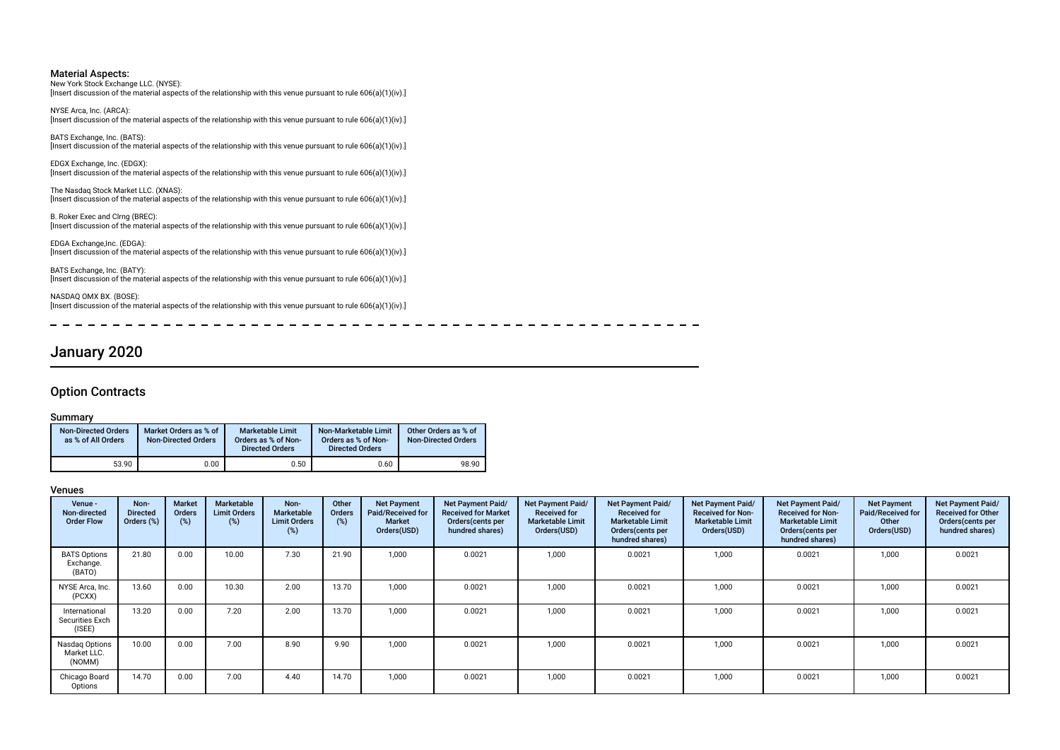New York Stock Exchange LLC. (NYSE): [Insert discussion of the material aspects of the relationship with this venue pursuant to rule 606(a)(1)(iv).]

NYSE Arca, Inc. (ARCA): [Insert discussion of the material aspects of the relationship with this venue pursuant to rule 606(a)(1)(iv).]

BATS Exchange, Inc. (BATS): [Insert discussion of the material aspects of the relationship with this venue pursuant to rule 606(a)(1)(iv).]

EDGX Exchange, Inc. (EDGX): [Insert discussion of the material aspects of the relationship with this venue pursuant to rule 606(a)(1)(iv).]

The Nasdaq Stock Market LLC. (XNAS): [Insert discussion of the material aspects of the relationship with this venue pursuant to rule 606(a)(1)(iv).]

B. Roker Exec and Clrng (BREC): [Insert discussion of the material aspects of the relationship with this venue pursuant to rule 606(a)(1)(iv).]

EDGA Exchange,Inc. (EDGA): [Insert discussion of the material aspects of the relationship with this venue pursuant to rule 606(a)(1)(iv).]

BATS Exchange, Inc. (BATY): Erro Exenarge, the correct of the material aspects of the relationship with this venue pursuant to rule 606(a)(1)(iv).]

NASDAQ OMX BX. (BOSE): [Insert discussion of the material aspects of the relationship with this venue pursuant to rule 606(a)(1)(iv).]

January 2020

### Option Contracts

### Summary

| <b>Non-Directed Orders</b><br>as % of All Orders | Market Orders as % of<br><b>Non-Directed Orders</b> | <b>Marketable Limit</b><br>Orders as % of Non-<br><b>Directed Orders</b> | Non-Marketable Limit<br>Orders as % of Non-<br><b>Directed Orders</b> | Other Orders as % of<br><b>Non-Directed Orders</b> |
|--------------------------------------------------|-----------------------------------------------------|--------------------------------------------------------------------------|-----------------------------------------------------------------------|----------------------------------------------------|
| 53.90                                            | 0.00                                                | 0.50                                                                     | 0.60                                                                  | 98.90                                              |

### Venues

| Venue -<br>Non-directed<br><b>Order Flow</b>      | Non-<br><b>Directed</b><br>Orders (%) | <b>Market</b><br>Orders<br>(%) | <b>Marketable</b><br><b>Limit Orders</b><br>(%) | Non-<br>Marketable<br><b>Limit Orders</b><br>(%) | Other<br><b>Orders</b><br>(%) | <b>Net Payment</b><br>Paid/Received for<br>Market<br>Orders(USD) | Net Payment Paid/<br><b>Received for Market</b><br>Orders (cents per<br>hundred shares) | Net Payment Paid/<br><b>Received for</b><br><b>Marketable Limit</b><br>Orders(USD) | Net Payment Paid/<br><b>Received for</b><br><b>Marketable Limit</b><br>Orders (cents per<br>hundred shares) | Net Payment Paid/<br><b>Received for Non-</b><br><b>Marketable Limit</b><br>Orders(USD) | Net Payment Paid/<br><b>Received for Non-</b><br><b>Marketable Limit</b><br>Orders (cents per<br>hundred shares) | <b>Net Payment</b><br>Paid/Received for<br>Other<br>Orders(USD) | Net Payment Paid/<br><b>Received for Other</b><br>Orders (cents per<br>hundred shares) |
|---------------------------------------------------|---------------------------------------|--------------------------------|-------------------------------------------------|--------------------------------------------------|-------------------------------|------------------------------------------------------------------|-----------------------------------------------------------------------------------------|------------------------------------------------------------------------------------|-------------------------------------------------------------------------------------------------------------|-----------------------------------------------------------------------------------------|------------------------------------------------------------------------------------------------------------------|-----------------------------------------------------------------|----------------------------------------------------------------------------------------|
| <b>BATS Options</b><br>Exchange.<br>(BATO)        | 21.80                                 | 0.00                           | 10.00                                           | 7.30                                             | 21.90                         | 1.000                                                            | 0.0021                                                                                  | 1,000                                                                              | 0.0021                                                                                                      | 1,000                                                                                   | 0.0021                                                                                                           | 1,000                                                           | 0.0021                                                                                 |
| NYSE Arca, Inc.<br>(PCXX)                         | 13.60                                 | 0.00                           | 10.30                                           | 2.00                                             | 13.70                         | 1.000                                                            | 0.0021                                                                                  | 1,000                                                                              | 0.0021                                                                                                      | 1,000                                                                                   | 0.0021                                                                                                           | 1,000                                                           | 0.0021                                                                                 |
| International<br><b>Securities Exch</b><br>(ISEE) | 13.20                                 | 0.00                           | 7.20                                            | 2.00                                             | 13.70                         | 1.000                                                            | 0.0021                                                                                  | 1,000                                                                              | 0.0021                                                                                                      | 1,000                                                                                   | 0.0021                                                                                                           | 1,000                                                           | 0.0021                                                                                 |
| Nasdag Options<br>Market LLC.<br>(NOMM)           | 10.00                                 | 0.00                           | 7.00                                            | 8.90                                             | 9.90                          | 1.000                                                            | 0.0021                                                                                  | 1,000                                                                              | 0.0021                                                                                                      | 1,000                                                                                   | 0.0021                                                                                                           | 1,000                                                           | 0.0021                                                                                 |
| Chicago Board<br>Options                          | 14.70                                 | 0.00                           | 7.00                                            | 4.40                                             | 14.70                         | 1,000                                                            | 0.0021                                                                                  | 1,000                                                                              | 0.0021                                                                                                      | 1,000                                                                                   | 0.0021                                                                                                           | 1,000                                                           | 0.0021                                                                                 |

------------

---------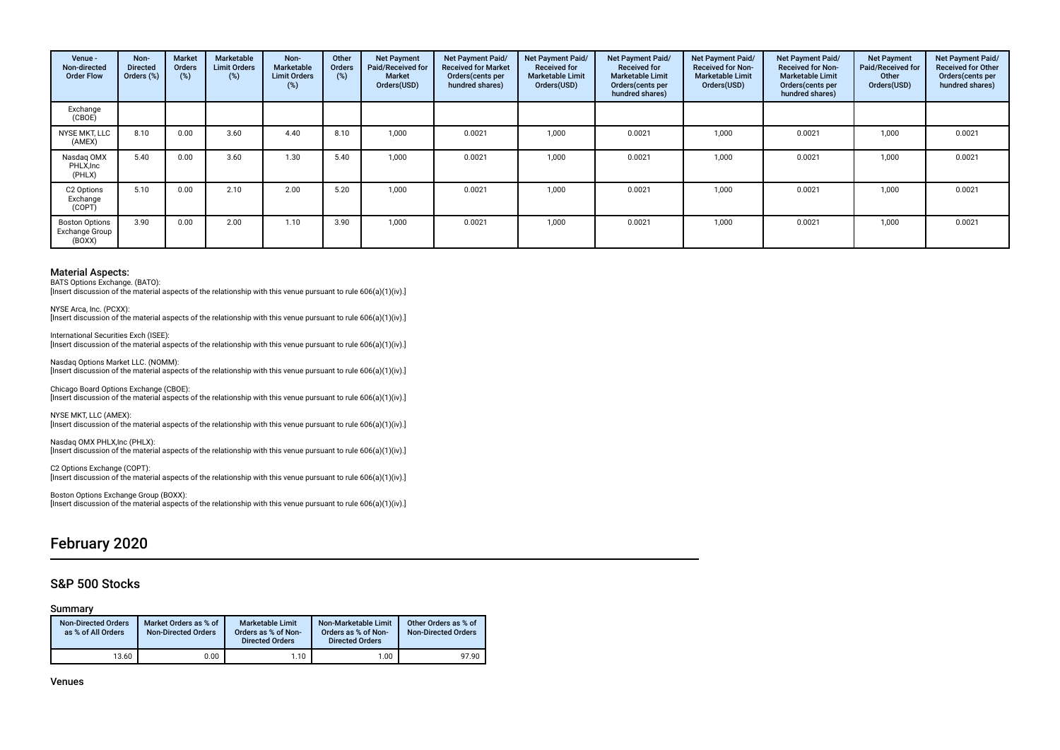| Venue -<br>Non-directed<br><b>Order Flow</b>      | Non-<br><b>Directed</b><br>Orders (%) | <b>Market</b><br><b>Orders</b><br>(%) | Marketable<br><b>Limit Orders</b><br>(%) | Non-<br><b>Marketable</b><br><b>Limit Orders</b><br>(%) | Other<br><b>Orders</b><br>(%) | <b>Net Payment</b><br>Paid/Received for<br><b>Market</b><br>Orders(USD) | Net Payment Paid/<br><b>Received for Market</b><br>Orders(cents per<br>hundred shares) | <b>Net Payment Paid/</b><br><b>Received for</b><br><b>Marketable Limit</b><br>Orders(USD) | <b>Net Payment Paid/</b><br><b>Received for</b><br><b>Marketable Limit</b><br>Orders (cents per<br>hundred shares) | Net Payment Paid/<br><b>Received for Non-</b><br><b>Marketable Limit</b><br>Orders(USD) | Net Payment Paid/<br><b>Received for Non-</b><br><b>Marketable Limit</b><br>Orders(cents per<br>hundred shares) | <b>Net Payment</b><br>Paid/Received for<br>Other<br>Orders(USD) | Net Payment Paid/<br><b>Received for Other</b><br>Orders(cents per<br>hundred shares) |
|---------------------------------------------------|---------------------------------------|---------------------------------------|------------------------------------------|---------------------------------------------------------|-------------------------------|-------------------------------------------------------------------------|----------------------------------------------------------------------------------------|-------------------------------------------------------------------------------------------|--------------------------------------------------------------------------------------------------------------------|-----------------------------------------------------------------------------------------|-----------------------------------------------------------------------------------------------------------------|-----------------------------------------------------------------|---------------------------------------------------------------------------------------|
| Exchange<br>(CBOE)                                |                                       |                                       |                                          |                                                         |                               |                                                                         |                                                                                        |                                                                                           |                                                                                                                    |                                                                                         |                                                                                                                 |                                                                 |                                                                                       |
| NYSE MKT, LLC<br>(AMEX)                           | 8.10                                  | 0.00                                  | 3.60                                     | 4.40                                                    | 8.10                          | 1.000                                                                   | 0.0021                                                                                 | 1,000                                                                                     | 0.0021                                                                                                             | 1,000                                                                                   | 0.0021                                                                                                          | 1,000                                                           | 0.0021                                                                                |
| Nasdag OMX<br>PHLX, Inc<br>(PHLX)                 | 5.40                                  | 0.00                                  | 3.60                                     | 1.30                                                    | 5.40                          | 1.000                                                                   | 0.0021                                                                                 | 1.000                                                                                     | 0.0021                                                                                                             | 1.000                                                                                   | 0.0021                                                                                                          | 1,000                                                           | 0.0021                                                                                |
| C2 Options<br>Exchange<br>(COPT)                  | 5.10                                  | 0.00                                  | 2.10                                     | 2.00                                                    | 5.20                          | 1.000                                                                   | 0.0021                                                                                 | 1,000                                                                                     | 0.0021                                                                                                             | 1,000                                                                                   | 0.0021                                                                                                          | 1,000                                                           | 0.0021                                                                                |
| <b>Boston Options</b><br>Exchange Group<br>(BOXX) | 3.90                                  | 0.00                                  | 2.00                                     | 1.10                                                    | 3.90                          | 1.000                                                                   | 0.0021                                                                                 | 1,000                                                                                     | 0.0021                                                                                                             | 1,000                                                                                   | 0.0021                                                                                                          | 1,000                                                           | 0.0021                                                                                |

BATS Options Exchange. (BATO):

[Insert discussion of the material aspects of the relationship with this venue pursuant to rule 606(a)(1)(iv).]

NYSE Arca, Inc. (PCXX): [Insert discussion of the material aspects of the relationship with this venue pursuant to rule 606(a)(1)(iv).]

International Securities Exch (ISEE): [Insert discussion of the material aspects of the relationship with this venue pursuant to rule 606(a)(1)(iv).]

Nasdaq Options Market LLC. (NOMM): [Insert discussion of the material aspects of the relationship with this venue pursuant to rule 606(a)(1)(iv).]

Chicago Board Options Exchange (CBOE): [Insert discussion of the material aspects of the relationship with this venue pursuant to rule 606(a)(1)(iv).]

NYSE MKT, LLC (AMEX): [Insert discussion of the material aspects of the relationship with this venue pursuant to rule 606(a)(1)(iv).]

Nasdaq OMX PHLX,Inc (PHLX): [Insert discussion of the material aspects of the relationship with this venue pursuant to rule 606(a)(1)(iv).]

C2 Options Exchange (COPT): [Insert discussion of the material aspects of the relationship with this venue pursuant to rule 606(a)(1)(iv).]

Boston Options Exchange Group (BOXX): [Insert discussion of the material aspects of the relationship with this venue pursuant to rule 606(a)(1)(iv).]

## February 2020

### S&P 500 Stocks

#### Summary

| <b>Non-Directed Orders</b><br>as % of All Orders | Market Orders as % of<br><b>Non-Directed Orders</b> | <b>Marketable Limit</b><br>Orders as % of Non-<br><b>Directed Orders</b> | Non-Marketable Limit<br>Orders as % of Non-<br><b>Directed Orders</b> | Other Orders as % of<br><b>Non-Directed Orders</b> |
|--------------------------------------------------|-----------------------------------------------------|--------------------------------------------------------------------------|-----------------------------------------------------------------------|----------------------------------------------------|
| 13.60                                            | 0.00                                                | 1.10                                                                     | 1.00                                                                  | 97.90                                              |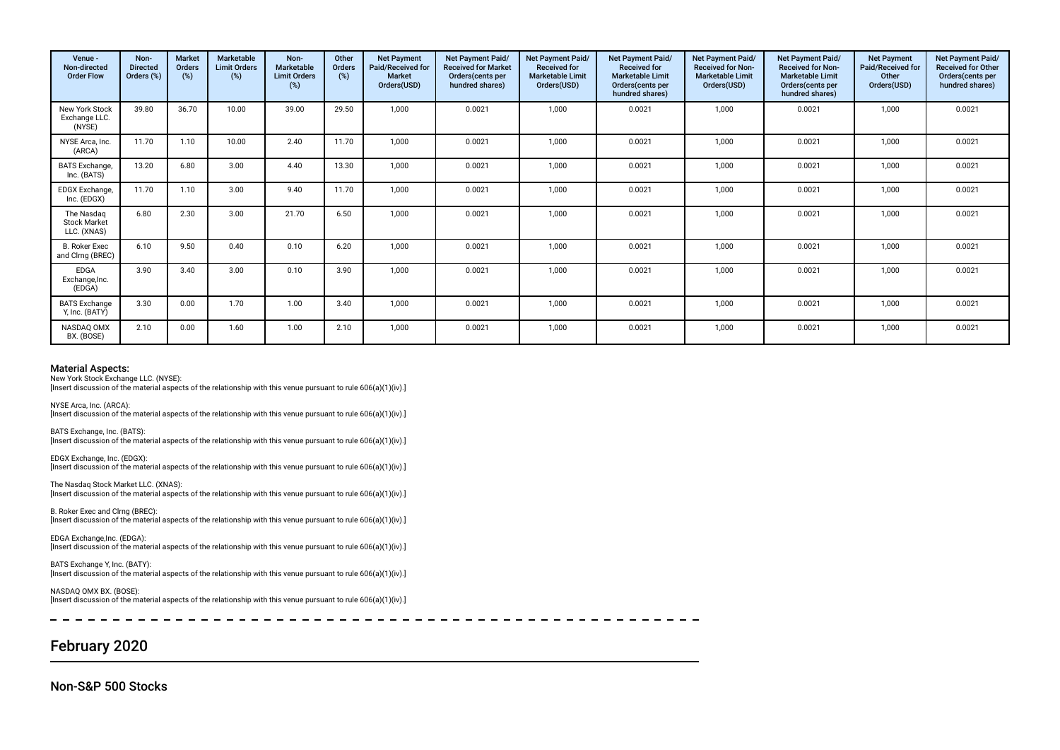| Venue -<br>Non-directed<br><b>Order Flow</b>     | Non-<br><b>Directed</b><br>Orders (%) | <b>Market</b><br>Orders<br>(%) | <b>Marketable</b><br><b>Limit Orders</b><br>(%) | Non-<br>Marketable<br><b>Limit Orders</b><br>$(\%)$ | Other<br><b>Orders</b><br>(%) | <b>Net Payment</b><br>Paid/Received for<br><b>Market</b><br>Orders(USD) | <b>Net Payment Paid/</b><br><b>Received for Market</b><br>Orders (cents per<br>hundred shares) | <b>Net Payment Paid/</b><br><b>Received for</b><br><b>Marketable Limit</b><br>Orders(USD) | <b>Net Payment Paid/</b><br><b>Received for</b><br><b>Marketable Limit</b><br>Orders (cents per<br>hundred shares) | <b>Net Payment Paid/</b><br><b>Received for Non-</b><br><b>Marketable Limit</b><br>Orders(USD) | <b>Net Payment Paid/</b><br><b>Received for Non-</b><br><b>Marketable Limit</b><br>Orders (cents per<br>hundred shares) | <b>Net Payment</b><br>Paid/Received for<br>Other<br>Orders(USD) | Net Payment Paid/<br><b>Received for Other</b><br>Orders(cents per<br>hundred shares) |
|--------------------------------------------------|---------------------------------------|--------------------------------|-------------------------------------------------|-----------------------------------------------------|-------------------------------|-------------------------------------------------------------------------|------------------------------------------------------------------------------------------------|-------------------------------------------------------------------------------------------|--------------------------------------------------------------------------------------------------------------------|------------------------------------------------------------------------------------------------|-------------------------------------------------------------------------------------------------------------------------|-----------------------------------------------------------------|---------------------------------------------------------------------------------------|
| <b>New York Stock</b><br>Exchange LLC.<br>(NYSE) | 39.80                                 | 36.70                          | 10.00                                           | 39.00                                               | 29.50                         | 1,000                                                                   | 0.0021                                                                                         | 1,000                                                                                     | 0.0021                                                                                                             | 1,000                                                                                          | 0.0021                                                                                                                  | 1,000                                                           | 0.0021                                                                                |
| NYSE Arca, Inc.<br>(ARCA)                        | 11.70                                 | 1.10                           | 10.00                                           | 2.40                                                | 11.70                         | 1,000                                                                   | 0.0021                                                                                         | 1,000                                                                                     | 0.0021                                                                                                             | 1,000                                                                                          | 0.0021                                                                                                                  | 1,000                                                           | 0.0021                                                                                |
| <b>BATS</b> Exchange,<br>Inc. (BATS)             | 13.20                                 | 6.80                           | 3.00                                            | 4.40                                                | 13.30                         | 1.000                                                                   | 0.0021                                                                                         | 1,000                                                                                     | 0.0021                                                                                                             | 1,000                                                                                          | 0.0021                                                                                                                  | 1,000                                                           | 0.0021                                                                                |
| <b>EDGX Exchange</b><br>Inc. (EDGX)              | 11.70                                 | 1.10                           | 3.00                                            | 9.40                                                | 11.70                         | 1,000                                                                   | 0.0021                                                                                         | 1,000                                                                                     | 0.0021                                                                                                             | 1,000                                                                                          | 0.0021                                                                                                                  | 1,000                                                           | 0.0021                                                                                |
| The Nasdaq<br><b>Stock Market</b><br>LLC. (XNAS) | 6.80                                  | 2.30                           | 3.00                                            | 21.70                                               | 6.50                          | 1,000                                                                   | 0.0021                                                                                         | 1,000                                                                                     | 0.0021                                                                                                             | 1,000                                                                                          | 0.0021                                                                                                                  | 1,000                                                           | 0.0021                                                                                |
| <b>B. Roker Exec</b><br>and Clrng (BREC)         | 6.10                                  | 9.50                           | 0.40                                            | 0.10                                                | 6.20                          | 1,000                                                                   | 0.0021                                                                                         | 1,000                                                                                     | 0.0021                                                                                                             | 1,000                                                                                          | 0.0021                                                                                                                  | 1,000                                                           | 0.0021                                                                                |
| <b>EDGA</b><br>Exchange, Inc.<br>(EDGA)          | 3.90                                  | 3.40                           | 3.00                                            | 0.10                                                | 3.90                          | 1.000                                                                   | 0.0021                                                                                         | 1,000                                                                                     | 0.0021                                                                                                             | 1,000                                                                                          | 0.0021                                                                                                                  | 1,000                                                           | 0.0021                                                                                |
| <b>BATS Exchange</b><br>Y, Inc. (BATY)           | 3.30                                  | 0.00                           | 1.70                                            | 1.00                                                | 3.40                          | 1.000                                                                   | 0.0021                                                                                         | 1.000                                                                                     | 0.0021                                                                                                             | 1.000                                                                                          | 0.0021                                                                                                                  | 1,000                                                           | 0.0021                                                                                |
| NASDAQ OMX<br>BX. (BOSE)                         | 2.10                                  | 0.00                           | 1.60                                            | 1.00                                                | 2.10                          | 1,000                                                                   | 0.0021                                                                                         | 1,000                                                                                     | 0.0021                                                                                                             | 1,000                                                                                          | 0.0021                                                                                                                  | 1,000                                                           | 0.0021                                                                                |

New York Stock Exchange LLC. (NYSE):

[Insert discussion of the material aspects of the relationship with this venue pursuant to rule 606(a)(1)(iv).]

NYSE Arca, Inc. (ARCA): [Insert discussion of the material aspects of the relationship with this venue pursuant to rule 606(a)(1)(iv).]

BATS Exchange, Inc. (BATS): [Insert discussion of the material aspects of the relationship with this venue pursuant to rule 606(a)(1)(iv).]

EDGX Exchange, Inc. (EDGX): [Insert discussion of the material aspects of the relationship with this venue pursuant to rule 606(a)(1)(iv).]

The Nasdaq Stock Market LLC. (XNAS): [Insert discussion of the material aspects of the relationship with this venue pursuant to rule 606(a)(1)(iv).]

B. Roker Exec and Clrng (BREC): [Insert discussion of the material aspects of the relationship with this venue pursuant to rule 606(a)(1)(iv).]

EDGA Exchange,Inc. (EDGA): [Insert discussion of the material aspects of the relationship with this venue pursuant to rule 606(a)(1)(iv).]

BATS Exchange Y, Inc. (BATY): [Insert discussion of the material aspects of the relationship with this venue pursuant to rule 606(a)(1)(iv).]

NASDAQ OMX BX. (BOSE): [Insert discussion of the material aspects of the relationship with this venue pursuant to rule 606(a)(1)(iv).]

## February 2020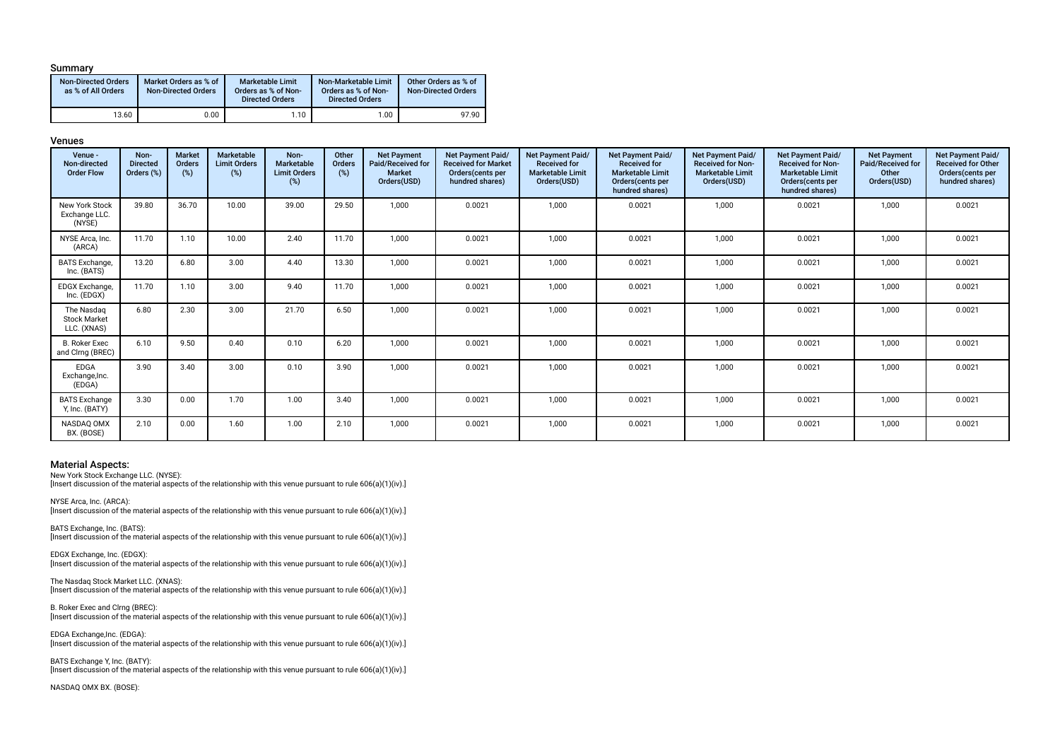### Summary

| <b>Non-Directed Orders</b><br>as % of All Orders | Market Orders as % of<br><b>Non-Directed Orders</b> | <b>Marketable Limit</b><br>Orders as % of Non-<br><b>Directed Orders</b> | Non-Marketable Limit<br>Orders as % of Non-<br><b>Directed Orders</b> | Other Orders as % of<br><b>Non-Directed Orders</b> |
|--------------------------------------------------|-----------------------------------------------------|--------------------------------------------------------------------------|-----------------------------------------------------------------------|----------------------------------------------------|
| 13.60                                            | 0.00                                                | 1.10                                                                     | 1.00                                                                  | 97.90                                              |

### Venues

| Venue -<br>Non-directed<br><b>Order Flow</b>     | Non-<br><b>Directed</b><br>Orders (%) | <b>Market</b><br><b>Orders</b><br>(%) | Marketable<br><b>Limit Orders</b><br>(%) | Non-<br>Marketable<br><b>Limit Orders</b><br>(%) | Other<br>Orders<br>(%) | <b>Net Payment</b><br>Paid/Received for<br><b>Market</b><br>Orders(USD) | Net Payment Paid/<br><b>Received for Market</b><br>Orders(cents per<br>hundred shares) | Net Payment Paid/<br><b>Received for</b><br><b>Marketable Limit</b><br>Orders(USD) | <b>Net Payment Paid/</b><br><b>Received for</b><br><b>Marketable Limit</b><br>Orders(cents per<br>hundred shares) | Net Payment Paid/<br><b>Received for Non-</b><br><b>Marketable Limit</b><br>Orders(USD) | Net Payment Paid/<br><b>Received for Non-</b><br><b>Marketable Limit</b><br>Orders(cents per<br>hundred shares) | <b>Net Payment</b><br>Paid/Received for<br>Other<br>Orders(USD) | Net Payment Paid/<br><b>Received for Other</b><br>Orders(cents per<br>hundred shares) |
|--------------------------------------------------|---------------------------------------|---------------------------------------|------------------------------------------|--------------------------------------------------|------------------------|-------------------------------------------------------------------------|----------------------------------------------------------------------------------------|------------------------------------------------------------------------------------|-------------------------------------------------------------------------------------------------------------------|-----------------------------------------------------------------------------------------|-----------------------------------------------------------------------------------------------------------------|-----------------------------------------------------------------|---------------------------------------------------------------------------------------|
| New York Stock<br>Exchange LLC.<br>(NYSE)        | 39.80                                 | 36.70                                 | 10.00                                    | 39.00                                            | 29.50                  | 1,000                                                                   | 0.0021                                                                                 | 1,000                                                                              | 0.0021                                                                                                            | 1,000                                                                                   | 0.0021                                                                                                          | 1,000                                                           | 0.0021                                                                                |
| NYSE Arca, Inc.<br>(ARCA)                        | 11.70                                 | 1.10                                  | 10.00                                    | 2.40                                             | 11.70                  | 1,000                                                                   | 0.0021                                                                                 | 1,000                                                                              | 0.0021                                                                                                            | 1,000                                                                                   | 0.0021                                                                                                          | 1,000                                                           | 0.0021                                                                                |
| <b>BATS</b> Exchange,<br>Inc. (BATS)             | 13.20                                 | 6.80                                  | 3.00                                     | 4.40                                             | 13.30                  | 1,000                                                                   | 0.0021                                                                                 | 1,000                                                                              | 0.0021                                                                                                            | 1,000                                                                                   | 0.0021                                                                                                          | 1,000                                                           | 0.0021                                                                                |
| EDGX Exchange,<br>Inc. (EDGX)                    | 11.70                                 | 1.10                                  | 3.00                                     | 9.40                                             | 11.70                  | 1,000                                                                   | 0.0021                                                                                 | 1,000                                                                              | 0.0021                                                                                                            | 1,000                                                                                   | 0.0021                                                                                                          | 1,000                                                           | 0.0021                                                                                |
| The Nasdag<br><b>Stock Market</b><br>LLC. (XNAS) | 6.80                                  | 2.30                                  | 3.00                                     | 21.70                                            | 6.50                   | 1,000                                                                   | 0.0021                                                                                 | 1.000                                                                              | 0.0021                                                                                                            | 1.000                                                                                   | 0.0021                                                                                                          | 1,000                                                           | 0.0021                                                                                |
| <b>B. Roker Exec</b><br>and Clrng (BREC)         | 6.10                                  | 9.50                                  | 0.40                                     | 0.10                                             | 6.20                   | 1,000                                                                   | 0.0021                                                                                 | 1,000                                                                              | 0.0021                                                                                                            | 1,000                                                                                   | 0.0021                                                                                                          | 1,000                                                           | 0.0021                                                                                |
| <b>EDGA</b><br>Exchange, Inc.<br>(EDGA)          | 3.90                                  | 3.40                                  | 3.00                                     | 0.10                                             | 3.90                   | 1,000                                                                   | 0.0021                                                                                 | 1,000                                                                              | 0.0021                                                                                                            | 1,000                                                                                   | 0.0021                                                                                                          | 1,000                                                           | 0.0021                                                                                |
| <b>BATS Exchange</b><br>Y, Inc. (BATY)           | 3.30                                  | 0.00                                  | 1.70                                     | 1.00                                             | 3.40                   | 1,000                                                                   | 0.0021                                                                                 | 1,000                                                                              | 0.0021                                                                                                            | 1.000                                                                                   | 0.0021                                                                                                          | 1,000                                                           | 0.0021                                                                                |
| NASDAQ OMX<br>BX. (BOSE)                         | 2.10                                  | 0.00                                  | 1.60                                     | 1.00                                             | 2.10                   | 1,000                                                                   | 0.0021                                                                                 | 1,000                                                                              | 0.0021                                                                                                            | 1,000                                                                                   | 0.0021                                                                                                          | 1,000                                                           | 0.0021                                                                                |

### Material Aspects:

New York Stock Exchange LLC. (NYSE): [Insert discussion of the material aspects of the relationship with this venue pursuant to rule 606(a)(1)(iv).]

NYSE Arca, Inc. (ARCA): [Insert discussion of the material aspects of the relationship with this venue pursuant to rule 606(a)(1)(iv).]

BATS Exchange, Inc. (BATS): [Insert discussion of the material aspects of the relationship with this venue pursuant to rule 606(a)(1)(iv).]

EDGX Exchange, Inc. (EDGX): [Insert discussion of the material aspects of the relationship with this venue pursuant to rule 606(a)(1)(iv).]

The Nasdaq Stock Market LLC. (XNAS): [Insert discussion of the material aspects of the relationship with this venue pursuant to rule 606(a)(1)(iv).]

B. Roker Exec and Clrng (BREC): [Insert discussion of the material aspects of the relationship with this venue pursuant to rule 606(a)(1)(iv).]

EDGA Exchange,Inc. (EDGA): [Insert discussion of the material aspects of the relationship with this venue pursuant to rule 606(a)(1)(iv).]

BATS Exchange Y, Inc. (BATY): [Insert discussion of the material aspects of the relationship with this venue pursuant to rule 606(a)(1)(iv).]

NASDAQ OMX BX. (BOSE):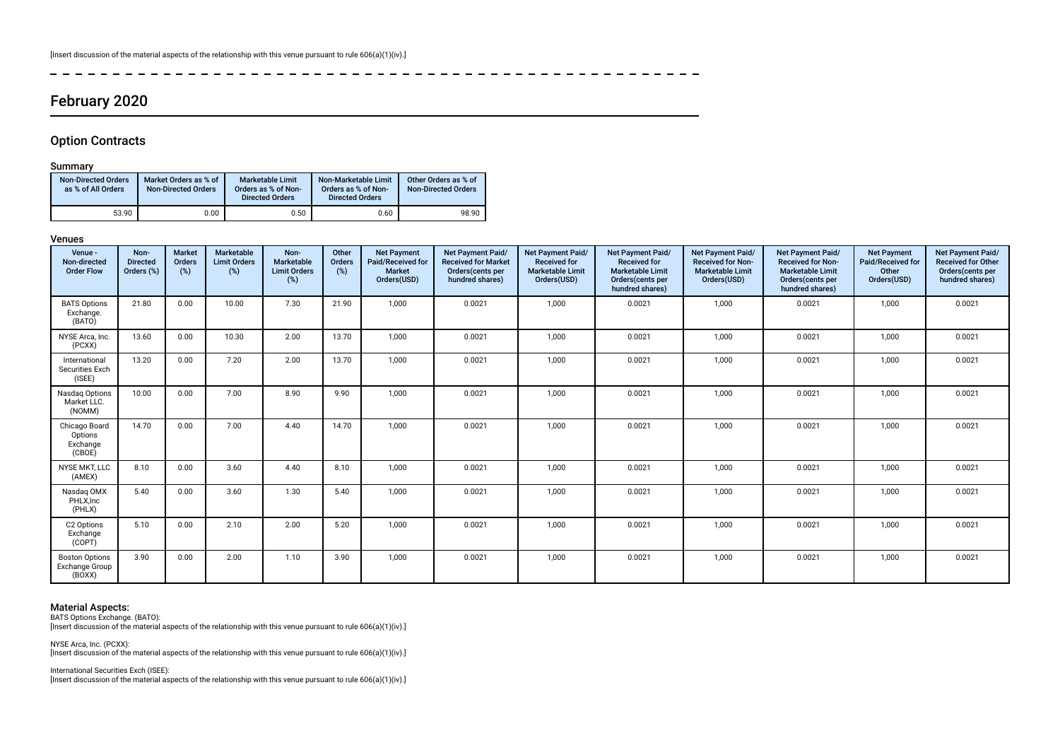ات کا کا کا

## February 2020

### Option Contracts

### Summary

 $\overline{a}$ 

| <b>Non-Directed Orders</b><br>as % of All Orders | Market Orders as % of<br><b>Non-Directed Orders</b> | <b>Marketable Limit</b><br>Orders as % of Non-<br><b>Directed Orders</b> | Non-Marketable Limit<br>Orders as % of Non-<br><b>Directed Orders</b> | Other Orders as % of<br><b>Non-Directed Orders</b> |
|--------------------------------------------------|-----------------------------------------------------|--------------------------------------------------------------------------|-----------------------------------------------------------------------|----------------------------------------------------|
| 53.90                                            | 0.00                                                | 0.50                                                                     | 0.60                                                                  | 98.90                                              |

-------------

### Venues

| Venue -<br>Non-directed<br><b>Order Flow</b>             | Non-<br><b>Directed</b><br>Orders (%) | <b>Market</b><br>Orders<br>(%) | Marketable<br><b>Limit Orders</b><br>(%) | Non-<br>Marketable<br><b>Limit Orders</b><br>$(\%)$ | Other<br>Orders<br>(%) | <b>Net Payment</b><br>Paid/Received for<br><b>Market</b><br>Orders(USD) | <b>Net Payment Paid/</b><br><b>Received for Market</b><br>Orders(cents per<br>hundred shares) | <b>Net Payment Paid/</b><br><b>Received for</b><br><b>Marketable Limit</b><br>Orders(USD) | <b>Net Payment Paid/</b><br><b>Received for</b><br><b>Marketable Limit</b><br>Orders(cents per<br>hundred shares) | <b>Net Payment Paid/</b><br><b>Received for Non-</b><br><b>Marketable Limit</b><br>Orders(USD) | <b>Net Payment Paid/</b><br><b>Received for Non-</b><br><b>Marketable Limit</b><br>Orders(cents per<br>hundred shares) | <b>Net Payment</b><br>Paid/Received for<br>Other<br>Orders(USD) | Net Payment Paid/<br><b>Received for Other</b><br>Orders(cents per<br>hundred shares) |
|----------------------------------------------------------|---------------------------------------|--------------------------------|------------------------------------------|-----------------------------------------------------|------------------------|-------------------------------------------------------------------------|-----------------------------------------------------------------------------------------------|-------------------------------------------------------------------------------------------|-------------------------------------------------------------------------------------------------------------------|------------------------------------------------------------------------------------------------|------------------------------------------------------------------------------------------------------------------------|-----------------------------------------------------------------|---------------------------------------------------------------------------------------|
| <b>BATS Options</b><br>Exchange.<br>(BATO)               | 21.80                                 | 0.00                           | 10.00                                    | 7.30                                                | 21.90                  | 1,000                                                                   | 0.0021                                                                                        | 1,000                                                                                     | 0.0021                                                                                                            | 1,000                                                                                          | 0.0021                                                                                                                 | 1,000                                                           | 0.0021                                                                                |
| NYSE Arca, Inc.<br>(PCXX)                                | 13.60                                 | 0.00                           | 10.30                                    | 2.00                                                | 13.70                  | 1,000                                                                   | 0.0021                                                                                        | 1,000                                                                                     | 0.0021                                                                                                            | 1,000                                                                                          | 0.0021                                                                                                                 | 1,000                                                           | 0.0021                                                                                |
| International<br>Securities Exch<br>(ISEE)               | 13.20                                 | 0.00                           | 7.20                                     | 2.00                                                | 13.70                  | 1,000                                                                   | 0.0021                                                                                        | 1,000                                                                                     | 0.0021                                                                                                            | 1,000                                                                                          | 0.0021                                                                                                                 | 1,000                                                           | 0.0021                                                                                |
| Nasdaq Options<br>Market LLC.<br>(NOMM)                  | 10.00                                 | 0.00                           | 7.00                                     | 8.90                                                | 9.90                   | 1,000                                                                   | 0.0021                                                                                        | 1,000                                                                                     | 0.0021                                                                                                            | 1,000                                                                                          | 0.0021                                                                                                                 | 1,000                                                           | 0.0021                                                                                |
| Chicago Board<br>Options<br>Exchange<br>(CBOE)           | 14.70                                 | 0.00                           | 7.00                                     | 4.40                                                | 14.70                  | 1.000                                                                   | 0.0021                                                                                        | 1,000                                                                                     | 0.0021                                                                                                            | 1,000                                                                                          | 0.0021                                                                                                                 | 1,000                                                           | 0.0021                                                                                |
| NYSE MKT, LLC<br>(AMEX)                                  | 8.10                                  | 0.00                           | 3.60                                     | 4.40                                                | 8.10                   | 1,000                                                                   | 0.0021                                                                                        | 1,000                                                                                     | 0.0021                                                                                                            | 1,000                                                                                          | 0.0021                                                                                                                 | 1,000                                                           | 0.0021                                                                                |
| Nasdag OMX<br>PHLX.Inc<br>(PHLX)                         | 5.40                                  | 0.00                           | 3.60                                     | 1.30                                                | 5.40                   | 1,000                                                                   | 0.0021                                                                                        | 1,000                                                                                     | 0.0021                                                                                                            | 1,000                                                                                          | 0.0021                                                                                                                 | 1,000                                                           | 0.0021                                                                                |
| C2 Options<br>Exchange<br>(COPT)                         | 5.10                                  | 0.00                           | 2.10                                     | 2.00                                                | 5.20                   | 1,000                                                                   | 0.0021                                                                                        | 1,000                                                                                     | 0.0021                                                                                                            | 1,000                                                                                          | 0.0021                                                                                                                 | 1,000                                                           | 0.0021                                                                                |
| <b>Boston Options</b><br><b>Exchange Group</b><br>(BOXX) | 3.90                                  | 0.00                           | 2.00                                     | 1.10                                                | 3.90                   | 1,000                                                                   | 0.0021                                                                                        | 1,000                                                                                     | 0.0021                                                                                                            | 1,000                                                                                          | 0.0021                                                                                                                 | 1,000                                                           | 0.0021                                                                                |

 $\begin{array}{cccccccccccccc} - & - & - & - & - & - \end{array}$ 

### Material Aspects:

BATS Options Exchange. (BATO): [Insert discussion of the material aspects of the relationship with this venue pursuant to rule 606(a)(1)(iv).]

NYSE Arca, Inc. (PCXX):

[Insert discussion of the material aspects of the relationship with this venue pursuant to rule 606(a)(1)(iv).]

International Securities Exch (ISEE):

[Insert discussion of the material aspects of the relationship with this venue pursuant to rule 606(a)(1)(iv).]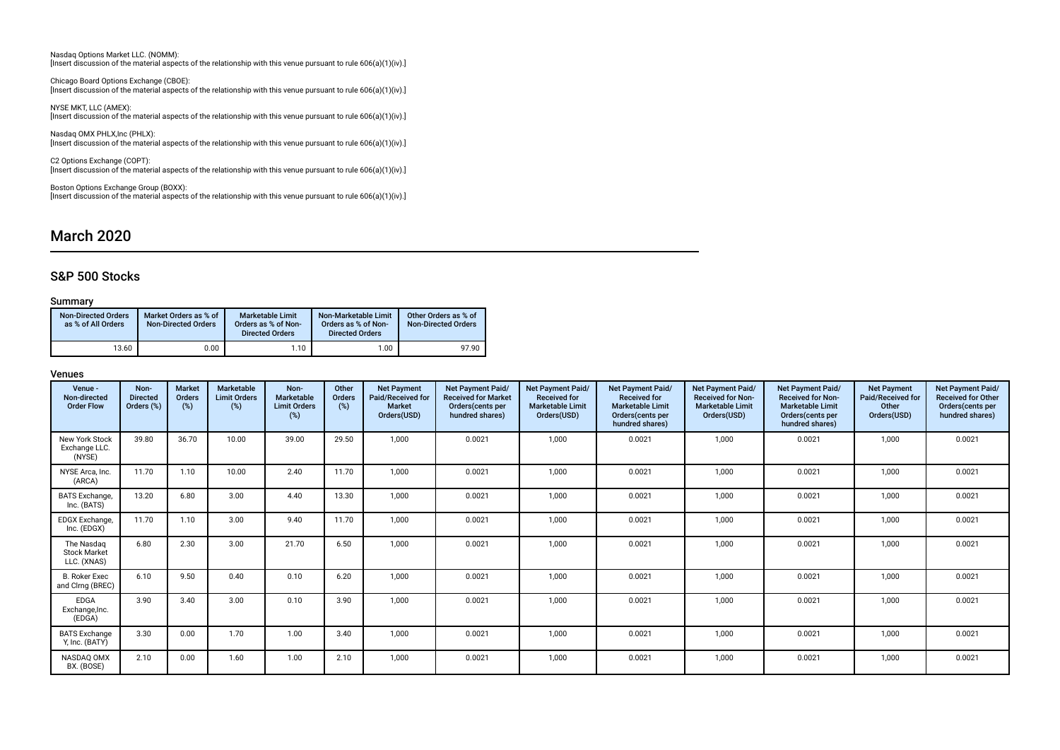Nasdaq Options Market LLC. (NOMM): [Insert discussion of the material aspects of the relationship with this venue pursuant to rule 606(a)(1)(iv).]

Chicago Board Options Exchange (CBOE): [Insert discussion of the material aspects of the relationship with this venue pursuant to rule 606(a)(1)(iv).]

NYSE MKT, LLC (AMEX): [Insert discussion of the material aspects of the relationship with this venue pursuant to rule 606(a)(1)(iv).]

Nasdaq OMX PHLX,Inc (PHLX): [Insert discussion of the material aspects of the relationship with this venue pursuant to rule 606(a)(1)(iv).]

C2 Options Exchange (COPT): [Insert discussion of the material aspects of the relationship with this venue pursuant to rule 606(a)(1)(iv).]

Boston Options Exchange Group (BOXX): [Insert discussion of the material aspects of the relationship with this venue pursuant to rule 606(a)(1)(iv).]

## March 2020

### S&P 500 Stocks

### Summary

| <b>Non-Directed Orders</b><br>as % of All Orders | Market Orders as % of<br><b>Non-Directed Orders</b> | <b>Marketable Limit</b><br>Orders as % of Non-<br><b>Directed Orders</b> | Non-Marketable Limit<br>Orders as % of Non-<br><b>Directed Orders</b> | Other Orders as % of<br><b>Non-Directed Orders</b> |
|--------------------------------------------------|-----------------------------------------------------|--------------------------------------------------------------------------|-----------------------------------------------------------------------|----------------------------------------------------|
| 13.60                                            | 0.00                                                | 1.10                                                                     | 1.00                                                                  | 97.90                                              |

| Venue -<br>Non-directed<br><b>Order Flow</b>     | Non-<br><b>Directed</b><br>Orders (%) | <b>Market</b><br><b>Orders</b><br>(%) | <b>Marketable</b><br><b>Limit Orders</b><br>(%) | Non-<br>Marketable<br><b>Limit Orders</b><br>(%) | Other<br>Orders<br>$(\%)$ | <b>Net Payment</b><br>Paid/Received for<br><b>Market</b><br>Orders(USD) | <b>Net Payment Paid/</b><br><b>Received for Market</b><br>Orders (cents per<br>hundred shares) | <b>Net Payment Paid/</b><br><b>Received for</b><br><b>Marketable Limit</b><br>Orders(USD) | Net Payment Paid/<br><b>Received for</b><br><b>Marketable Limit</b><br>Orders (cents per<br>hundred shares) | <b>Net Payment Paid/</b><br><b>Received for Non-</b><br><b>Marketable Limit</b><br>Orders(USD) | <b>Net Payment Paid/</b><br><b>Received for Non-</b><br><b>Marketable Limit</b><br>Orders (cents per<br>hundred shares) | <b>Net Payment</b><br>Paid/Received for<br>Other<br>Orders(USD) | Net Payment Paid/<br><b>Received for Other</b><br>Orders(cents per<br>hundred shares) |
|--------------------------------------------------|---------------------------------------|---------------------------------------|-------------------------------------------------|--------------------------------------------------|---------------------------|-------------------------------------------------------------------------|------------------------------------------------------------------------------------------------|-------------------------------------------------------------------------------------------|-------------------------------------------------------------------------------------------------------------|------------------------------------------------------------------------------------------------|-------------------------------------------------------------------------------------------------------------------------|-----------------------------------------------------------------|---------------------------------------------------------------------------------------|
| New York Stock<br>Exchange LLC.<br>(NYSE)        | 39.80                                 | 36.70                                 | 10.00                                           | 39.00                                            | 29.50                     | 1,000                                                                   | 0.0021                                                                                         | 1,000                                                                                     | 0.0021                                                                                                      | 1,000                                                                                          | 0.0021                                                                                                                  | 1,000                                                           | 0.0021                                                                                |
| NYSE Arca, Inc.<br>(ARCA)                        | 11.70                                 | 1.10                                  | 10.00                                           | 2.40                                             | 11.70                     | 1.000                                                                   | 0.0021                                                                                         | 1,000                                                                                     | 0.0021                                                                                                      | 1,000                                                                                          | 0.0021                                                                                                                  | 1,000                                                           | 0.0021                                                                                |
| <b>BATS</b> Exchange,<br>Inc. (BATS)             | 13.20                                 | 6.80                                  | 3.00                                            | 4.40                                             | 13.30                     | 1,000                                                                   | 0.0021                                                                                         | 1,000                                                                                     | 0.0021                                                                                                      | 1,000                                                                                          | 0.0021                                                                                                                  | 1,000                                                           | 0.0021                                                                                |
| EDGX Exchange,<br>Inc. (EDGX)                    | 11.70                                 | 1.10                                  | 3.00                                            | 9.40                                             | 11.70                     | 1,000                                                                   | 0.0021                                                                                         | 1,000                                                                                     | 0.0021                                                                                                      | 1,000                                                                                          | 0.0021                                                                                                                  | 1,000                                                           | 0.0021                                                                                |
| The Nasdag<br><b>Stock Market</b><br>LLC. (XNAS) | 6.80                                  | 2.30                                  | 3.00                                            | 21.70                                            | 6.50                      | 1.000                                                                   | 0.0021                                                                                         | 1,000                                                                                     | 0.0021                                                                                                      | 1,000                                                                                          | 0.0021                                                                                                                  | 1,000                                                           | 0.0021                                                                                |
| <b>B. Roker Exec</b><br>and Clrng (BREC)         | 6.10                                  | 9.50                                  | 0.40                                            | 0.10                                             | 6.20                      | 1.000                                                                   | 0.0021                                                                                         | 1,000                                                                                     | 0.0021                                                                                                      | 1,000                                                                                          | 0.0021                                                                                                                  | 1,000                                                           | 0.0021                                                                                |
| EDGA<br>Exchange, Inc.<br>(EDGA)                 | 3.90                                  | 3.40                                  | 3.00                                            | 0.10                                             | 3.90                      | 1,000                                                                   | 0.0021                                                                                         | 1,000                                                                                     | 0.0021                                                                                                      | 1,000                                                                                          | 0.0021                                                                                                                  | 1,000                                                           | 0.0021                                                                                |
| <b>BATS Exchange</b><br>Y, Inc. (BATY)           | 3.30                                  | 0.00                                  | 1.70                                            | 1.00                                             | 3.40                      | 1.000                                                                   | 0.0021                                                                                         | 1,000                                                                                     | 0.0021                                                                                                      | 1,000                                                                                          | 0.0021                                                                                                                  | 1,000                                                           | 0.0021                                                                                |
| NASDAQ OMX<br>BX. (BOSE)                         | 2.10                                  | 0.00                                  | 1.60                                            | 1.00                                             | 2.10                      | 1,000                                                                   | 0.0021                                                                                         | 1,000                                                                                     | 0.0021                                                                                                      | 1,000                                                                                          | 0.0021                                                                                                                  | 1,000                                                           | 0.0021                                                                                |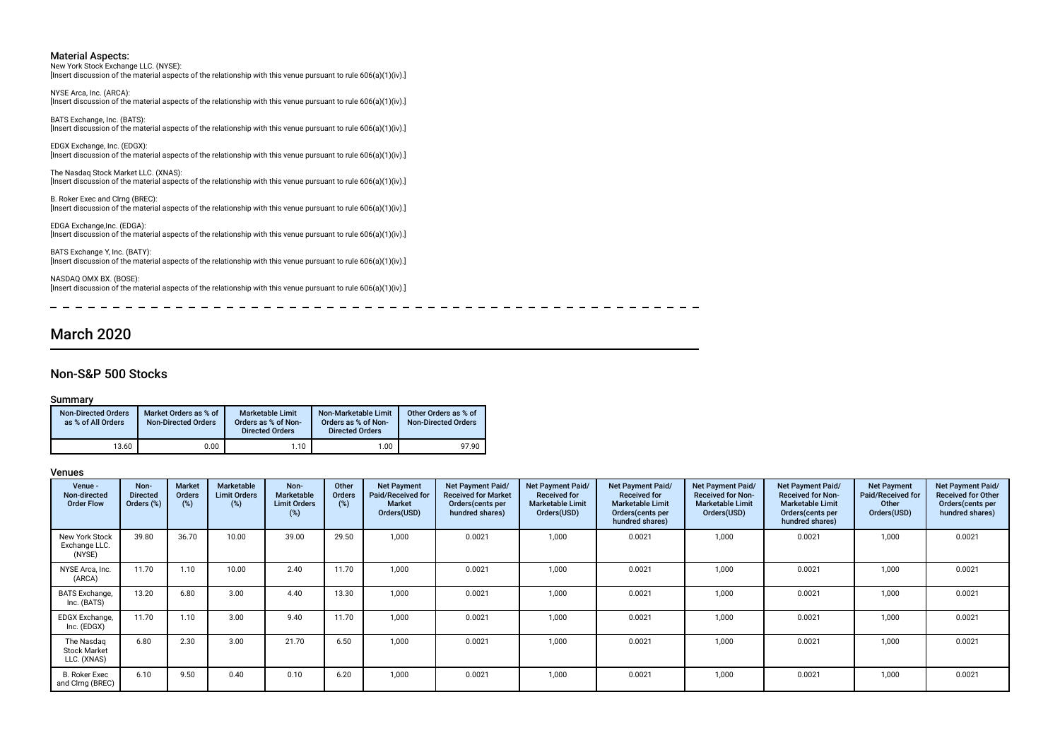New York Stock Exchange LLC. (NYSE): [Insert discussion of the material aspects of the relationship with this venue pursuant to rule 606(a)(1)(iv).]

NYSE Arca, Inc. (ARCA): [Insert discussion of the material aspects of the relationship with this venue pursuant to rule 606(a)(1)(iv).]

BATS Exchange, Inc. (BATS): [Insert discussion of the material aspects of the relationship with this venue pursuant to rule 606(a)(1)(iv).]

EDGX Exchange, Inc. (EDGX): [Insert discussion of the material aspects of the relationship with this venue pursuant to rule 606(a)(1)(iv).]

The Nasdaq Stock Market LLC. (XNAS): [Insert discussion of the material aspects of the relationship with this venue pursuant to rule 606(a)(1)(iv).]

B. Roker Exec and Clrng (BREC): [Insert discussion of the material aspects of the relationship with this venue pursuant to rule 606(a)(1)(iv).]

EDGA Exchange,Inc. (EDGA): [Insert discussion of the material aspects of the relationship with this venue pursuant to rule 606(a)(1)(iv).]

BATS Exchange Y, Inc. (BATY): [Insert discussion of the material aspects of the relationship with this venue pursuant to rule 606(a)(1)(iv).]

NASDAQ OMX BX. (BOSE): [Insert discussion of the material aspects of the relationship with this venue pursuant to rule 606(a)(1)(iv).]

 $\frac{1}{2}$ 

 $\sim$  $- - - - - - -$ 

## March 2020

### Non-S&P 500 Stocks

### Summary

| <b>Non-Directed Orders</b><br>as % of All Orders | Market Orders as % of<br><b>Non-Directed Orders</b> | <b>Marketable Limit</b><br>Orders as % of Non-<br><b>Directed Orders</b> | Non-Marketable Limit<br>Orders as % of Non-<br><b>Directed Orders</b> | Other Orders as % of<br><b>Non-Directed Orders</b> |
|--------------------------------------------------|-----------------------------------------------------|--------------------------------------------------------------------------|-----------------------------------------------------------------------|----------------------------------------------------|
| 13.60                                            | 0.00                                                | $1.10$ .                                                                 | 1.00                                                                  | 97.90                                              |

| Venue -<br>Non-directed<br><b>Order Flow</b>     | Non-<br><b>Directed</b><br>Orders (%) | <b>Market</b><br><b>Orders</b><br>(%) | Marketable<br><b>Limit Orders</b><br>(%) | Non-<br>Marketable<br><b>Limit Orders</b><br>(%) | Other<br>Orders<br>(%) | <b>Net Payment</b><br>Paid/Received for<br><b>Market</b><br>Orders(USD) | Net Payment Paid/<br><b>Received for Market</b><br>Orders (cents per<br>hundred shares) | Net Payment Paid/<br><b>Received for</b><br><b>Marketable Limit</b><br>Orders(USD) | Net Payment Paid/<br><b>Received for</b><br><b>Marketable Limit</b><br>Orders (cents per<br>hundred shares) | <b>Net Payment Paid/</b><br><b>Received for Non-</b><br><b>Marketable Limit</b><br>Orders(USD) | Net Payment Paid/<br><b>Received for Non-</b><br><b>Marketable Limit</b><br>Orders (cents per<br>hundred shares) | <b>Net Payment</b><br>Paid/Received for<br>Other<br>Orders(USD) | Net Payment Paid/<br><b>Received for Other</b><br>Orders (cents per<br>hundred shares) |
|--------------------------------------------------|---------------------------------------|---------------------------------------|------------------------------------------|--------------------------------------------------|------------------------|-------------------------------------------------------------------------|-----------------------------------------------------------------------------------------|------------------------------------------------------------------------------------|-------------------------------------------------------------------------------------------------------------|------------------------------------------------------------------------------------------------|------------------------------------------------------------------------------------------------------------------|-----------------------------------------------------------------|----------------------------------------------------------------------------------------|
| New York Stock<br>Exchange LLC.<br>(NYSE)        | 39.80                                 | 36.70                                 | 10.00                                    | 39.00                                            | 29.50                  | 1.000                                                                   | 0.0021                                                                                  | 1,000                                                                              | 0.0021                                                                                                      | 1,000                                                                                          | 0.0021                                                                                                           | 1,000                                                           | 0.0021                                                                                 |
| NYSE Arca, Inc.<br>(ARCA)                        | 11.70                                 | 1.10                                  | 10.00                                    | 2.40                                             | 11.70                  | 1.000                                                                   | 0.0021                                                                                  | 1,000                                                                              | 0.0021                                                                                                      | 1.000                                                                                          | 0.0021                                                                                                           | 1,000                                                           | 0.0021                                                                                 |
| <b>BATS</b> Exchange,<br>Inc. (BATS)             | 13.20                                 | 6.80                                  | 3.00                                     | 4.40                                             | 13.30                  | 1.000                                                                   | 0.0021                                                                                  | 1,000                                                                              | 0.0021                                                                                                      | 1,000                                                                                          | 0.0021                                                                                                           | 1,000                                                           | 0.0021                                                                                 |
| EDGX Exchange,<br>Inc. (EDGX)                    | 11.70                                 | 1.10                                  | 3.00                                     | 9.40                                             | 11.70                  | 1,000                                                                   | 0.0021                                                                                  | 1,000                                                                              | 0.0021                                                                                                      | 1,000                                                                                          | 0.0021                                                                                                           | 1,000                                                           | 0.0021                                                                                 |
| The Nasdaq<br><b>Stock Market</b><br>LLC. (XNAS) | 6.80                                  | 2.30                                  | 3.00                                     | 21.70                                            | 6.50                   | 1,000                                                                   | 0.0021                                                                                  | 1,000                                                                              | 0.0021                                                                                                      | 1,000                                                                                          | 0.0021                                                                                                           | 1,000                                                           | 0.0021                                                                                 |
| <b>B. Roker Exec</b><br>and Clrng (BREC)         | 6.10                                  | 9.50                                  | 0.40                                     | 0.10                                             | 6.20                   | 1,000                                                                   | 0.0021                                                                                  | 1,000                                                                              | 0.0021                                                                                                      | 1,000                                                                                          | 0.0021                                                                                                           | 1,000                                                           | 0.0021                                                                                 |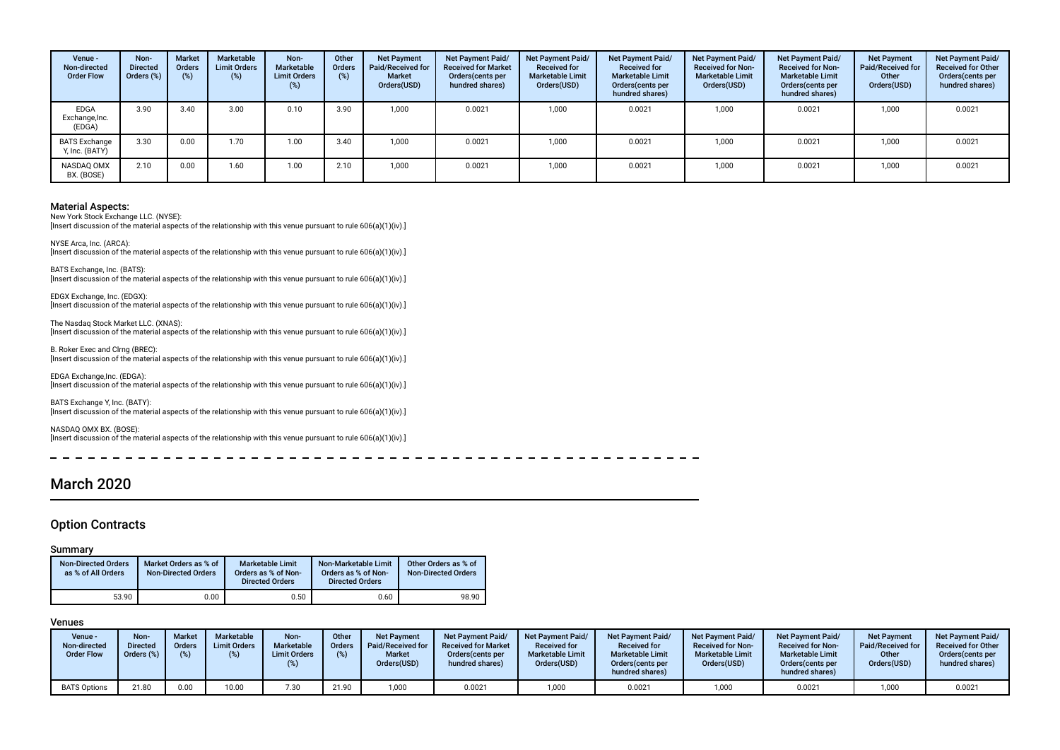| Venue -<br>Non-directed<br><b>Order Flow</b> | Non-<br><b>Directed</b><br>Orders (%) | <b>Market</b><br><b>Orders</b> | Marketable<br><b>Limit Orders</b><br>(%) | Non-<br>Marketable<br><b>Limit Orders</b><br>(%) | Other<br>Orders | <b>Net Payment</b><br>Paid/Received for<br>Market<br>Orders(USD) | Net Payment Paid/<br><b>Received for Market</b><br>Orders (cents per<br>hundred shares) | <b>Net Payment Paid/</b><br><b>Received for</b><br><b>Marketable Limit</b><br>Orders(USD) | Net Payment Paid/<br><b>Received for</b><br><b>Marketable Limit</b><br>Orders (cents per<br>hundred shares) | <b>Net Payment Paid/</b><br><b>Received for Non-</b><br><b>Marketable Limit</b><br>Orders(USD) | Net Payment Paid/<br><b>Received for Non-</b><br><b>Marketable Limit</b><br>Orders(cents per<br>hundred shares) | <b>Net Payment</b><br>Paid/Received for<br>Other<br>Orders(USD) | Net Payment Paid/<br><b>Received for Other</b><br>Orders(cents per<br>hundred shares) |
|----------------------------------------------|---------------------------------------|--------------------------------|------------------------------------------|--------------------------------------------------|-----------------|------------------------------------------------------------------|-----------------------------------------------------------------------------------------|-------------------------------------------------------------------------------------------|-------------------------------------------------------------------------------------------------------------|------------------------------------------------------------------------------------------------|-----------------------------------------------------------------------------------------------------------------|-----------------------------------------------------------------|---------------------------------------------------------------------------------------|
| EDGA<br>Exchange, Inc.<br>(EDGA)             | 3.90                                  | 3.40                           | 3.00                                     | 0.10                                             | 3.90            | 1.000                                                            | 0.0021                                                                                  | 1,000                                                                                     | 0.0021                                                                                                      | 1,000                                                                                          | 0.0021                                                                                                          | 1,000                                                           | 0.0021                                                                                |
| <b>BATS Exchange</b><br>Y, Inc. (BATY)       | 3.30                                  | 0.00                           | 1.70                                     | 1.00                                             | 3.40            | 1.000                                                            | 0.0021                                                                                  | 1.000                                                                                     | 0.0021                                                                                                      | 1.000                                                                                          | 0.0021                                                                                                          | 1.000                                                           | 0.0021                                                                                |
| NASDAQ OMX<br>BX. (BOSE)                     | 2.10                                  | 0.00                           | 1.60                                     | 00.1                                             | 2.10            | 1.000                                                            | 0.0021                                                                                  | 1.000                                                                                     | 0.0021                                                                                                      | 1.000                                                                                          | 0.0021                                                                                                          | 1.000                                                           | 0.0021                                                                                |

New York Stock Exchange LLC. (NYSE): [Insert discussion of the material aspects of the relationship with this venue pursuant to rule 606(a)(1)(iv).]

NYSE Arca, Inc. (ARCA): [Insert discussion of the material aspects of the relationship with this venue pursuant to rule 606(a)(1)(iv).]

BATS Exchange, Inc. (BATS): [Insert discussion of the material aspects of the relationship with this venue pursuant to rule 606(a)(1)(iv).]

EDGX Exchange, Inc. (EDGX): [Insert discussion of the material aspects of the relationship with this venue pursuant to rule 606(a)(1)(iv).]

The Nasdaq Stock Market LLC. (XNAS): [Insert discussion of the material aspects of the relationship with this venue pursuant to rule 606(a)(1)(iv).]

B. Roker Exec and Clrng (BREC): [Insert discussion of the material aspects of the relationship with this venue pursuant to rule 606(a)(1)(iv).]

EDGA Exchange,Inc. (EDGA): [Insert discussion of the material aspects of the relationship with this venue pursuant to rule 606(a)(1)(iv).]

BATS Exchange Y, Inc. (BATY): [Insert discussion of the material aspects of the relationship with this venue pursuant to rule 606(a)(1)(iv).]

NASDAQ OMX BX. (BOSE): [Insert discussion of the material aspects of the relationship with this venue pursuant to rule 606(a)(1)(iv).]

## March 2020

### Option Contracts

### Summary

| <b>Non-Directed Orders</b><br>as % of All Orders | Market Orders as % of<br><b>Non-Directed Orders</b> | <b>Marketable Limit</b><br>Orders as % of Non-<br><b>Directed Orders</b> | Non-Marketable Limit<br>Orders as % of Non-<br><b>Directed Orders</b> | Other Orders as % of<br><b>Non-Directed Orders</b> |
|--------------------------------------------------|-----------------------------------------------------|--------------------------------------------------------------------------|-----------------------------------------------------------------------|----------------------------------------------------|
| 53.90                                            | 0.00                                                | 0.50                                                                     | 0.60                                                                  | 98.90                                              |

| Venue -<br>Non-directed<br><b>Order Flow</b> | Non-<br>Directed<br>Orders $(\%)$ | <b>Market</b><br>Orders<br>(%) | Marketable<br><b>Limit Orders</b><br>(%) | Non-<br>Marketable<br><b>Limit Orders</b> | Other<br>Orders | <b>Net Payment</b><br>Paid/Received for<br><b>Market</b><br>Orders(USD) | <b>Net Payment Paid/</b><br><b>Received for Market</b><br>Orders (cents per<br>hundred shares) | <b>Net Payment Paid/</b><br><b>Received for</b><br><b>Marketable Limit</b><br>Orders(USD) | <b>Net Payment Paid/</b><br><b>Received for</b><br><b>Marketable Limit</b><br>Orders(cents per<br>hundred shares) | <b>Net Payment Paid/</b><br><b>Received for Non-</b><br><b>Marketable Limit</b><br>Orders(USD) | <b>Net Payment Paid/</b><br><b>Received for Non-</b><br><b>Marketable Limit</b><br>Orders (cents per<br>hundred shares) | <b>Net Payment</b><br>Paid/Received for<br>Other<br>Orders(USD) | <b>Net Payment Paid/</b><br><b>Received for Other</b><br>Orders(cents per<br>hundred shares) |
|----------------------------------------------|-----------------------------------|--------------------------------|------------------------------------------|-------------------------------------------|-----------------|-------------------------------------------------------------------------|------------------------------------------------------------------------------------------------|-------------------------------------------------------------------------------------------|-------------------------------------------------------------------------------------------------------------------|------------------------------------------------------------------------------------------------|-------------------------------------------------------------------------------------------------------------------------|-----------------------------------------------------------------|----------------------------------------------------------------------------------------------|
| <b>BATS Options</b>                          | 21.80                             | 0.00                           | 10.00                                    | 7.30                                      | 21.90           | ,000                                                                    | 0.0021                                                                                         | 1,000                                                                                     | 0.0021                                                                                                            | 1,000                                                                                          | 0.0021                                                                                                                  | 1,000                                                           | 0.0021                                                                                       |